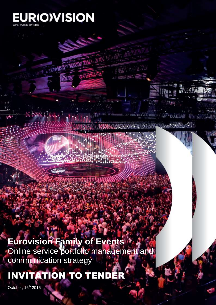

# **Eurovision Family of Events**

Online service portfolio management and communication strategy

**37 Million** 

**Willy, State Avenue** 

INVITATION TO TENDER

October, 16<sup>th</sup> 2015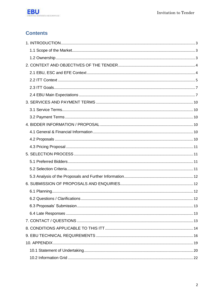

# **Contents**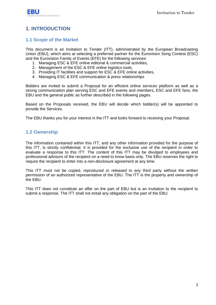

# <span id="page-2-0"></span>**1. INTRODUCTION**

### <span id="page-2-1"></span>**1.1 Scope of the Market**

This document is an Invitation to Tender (ITT), administrated by the European Broadcasting Union (EBU), which aims at selecting a preferred partner for the Eurovision Song Contest (ESC) and the Eurovision Family of Events (EFE) for the following services:

- 1. Managing ESC & EFE online editorial & commercial activities,
- 2. Management of the ESC & EFE online logistics tools,
- 3. Providing IT facilities and support for ESC & EFE online activities,
- 4. Managing ESC & EFE communication & press relationships

Bidders are invited to submit a Proposal for an efficient online services platform as well as a strong communication plan serving ESC and EFE events and members, ESC and EFE fans, the EBU and the general public as further described in the following pages.

Based on the Proposals received, the EBU will decide which bidder(s) will be appointed to provide the Services.

The EBU thanks you for your interest in the ITT and looks forward to receiving your Proposal.

### <span id="page-2-2"></span>**1.2 Ownership**

The information contained within this ITT, and any other information provided for the purpose of this ITT, is strictly confidential. It is provided for the exclusive use of the recipient in order to evaluate a response to this ITT. The content of this ITT may be divulged to employees and professional advisors of the recipient on a need to know basis only. The EBU reserves the right to require the recipient to enter into a non-disclosure agreement at any time.

This ITT must not be copied, reproduced or released to any third party without the written permission of an authorized representative of the EBU. The ITT is the property and ownership of the EBU.

This ITT does not constitute an offer on the part of EBU but is an invitation to the recipient to submit a response. The ITT shall not entail any obligation on the part of the EBU.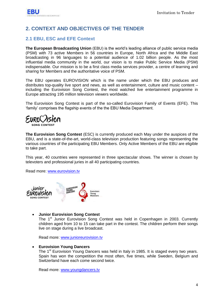# <span id="page-3-0"></span>**2. CONTEXT AND OBJECTIVES OF THE TENDER**

### <span id="page-3-1"></span>**2.1 EBU, ESC and EFE Context**

**The European Broadcasting Union** (EBU) is the world"s leading alliance of public service media (PSM) with 73 active Members in 56 countries in Europe, North Africa and the Middle East broadcasting in 96 languages to a potential audience of 1.02 billion people. As the most influential media community in the world, our vision is to make Public Service Media (PSM) indispensable. Our mission is to be a first class media services provider, a centre of learning and sharing for Members and the authoritative voice of PSM.

The EBU operates EUROVISION which is the name under which the EBU produces and distributes top-quality live sport and news, as well as entertainment, culture and music content – including the Eurovision Song Contest, the most watched live entertainment programme in Europe attracting 195 million television viewers worldwide.

The Eurovision Song Contest is part of the so-called Eurovision Family of Events (EFE). This "family" comprises the flagship events of the the EBU Media Department.

**The Eurovision Song Contest** (ESC) is currently produced each May under the auspices of the EBU, and is a state-of-the-art, world-class television production featuring songs representing the various countries of the participating EBU Members. Only Active Members of the EBU are eligible to take part.

This year, 40 countries were represented in three spectacular shows. The winner is chosen by televoters and professional juries in all 40 participating countries.

Read more: [www.eurovision.tv](http://www.eurovision.tv/)



### **Junior Eurovision Song Contest**

The 1<sup>st</sup> Junior Eurovision Song Contest was held in Copenhagen in 2003. Currently children aged from 10 to 15 can take part in the contest. The children perform their songs live on stage during a live broadcast.

Read more: [www.junioreurovision.tv](http://www.junioreurovision.tv/)

#### **Eurovision Young Dancers**

The 1<sup>st</sup> Eurovision Young Dancers was held in Italy in 1985. It is staged every two years. Spain has won the competition the most often, five times, while Sweden, Belgium and Switzerland have each come second twice.

Read more: [www.youngdancers.tv](http://www.youngdancers.tv/)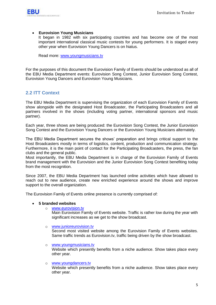

### **Eurovision Young Musicians**

It began in 1982 with six participating countries and has become one of the most important international classical music contests for young performers. It is staged every other year when Eurovision Young Dancers is on hiatus.

Read more: [www.youngmusicians.tv](http://www.youngmusicians.tv/)

For the purposes of this document the Eurovision Family of Events should be understood as all of the EBU Media Department events: Eurovision Song Contest, Junior Eurovision Song Contest, Eurovision Young Dancers and Eurovision Young Musicians.

### <span id="page-4-0"></span>**2.2 ITT Context**

The EBU Media Department is supervising the organization of each Eurovision Family of Events show alongside with the designated Host Broadcaster, the Participating Broadcasters and all partners involved in the shows (including voting partner, international sponsors and music partner).

Each year, three shows are being produced: the Eurovision Song Contest, the Junior Eurovision Song Contest and the Eurovision Young Dancers or the Eurovision Young Musicians alternately.

The EBU Media Department secures the shows" preparation and brings critical support to the Host Broadcasters mostly in terms of logistics, content, production and communication strategy. Furthermore, it is the main point of contact for the Participating Broadcasters, the press, the fan clubs and the general public.

Most importantly, the EBU Media Department is in charge of the Eurovision Family of Events brand management with the Eurovision and the Junior Eurovision Song Contest benefiting today from the most recognition.

Since 2007, the EBU Media Department has launched online activities which have allowed to reach out to new audience, create new enriched experience around the shows and improve support to the overall organization.

The Eurovision Family of Events online presence is currently comprised of:

### **5 branded websites**

o [www.eurovision.tv](http://www.eurovision.tv/)

Main Eurovision Family of Events website. Traffic is rather low during the year with significant increases as we get to the show broadcast.

o www.junioreurovision.tv

Second most visited website among the Eurovision Family of Events websites. Same traffic trends as Eurovision.tv, traffic being driven by the show broadcast.

o www.youngmusicians.tv

Website which presently benefits from a niche audience. Show takes place every other year.

o [www.youngdancers.tv](http://www.youngdancers.tv/)

Website which presently benefits from a niche audience. Show takes place every other year.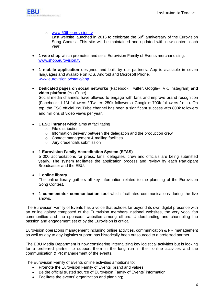

### o [www.60th.eurovision.tv](http://www.60th.eurovision.tv/)

Last website launched in 2015 to celebrate the  $60<sup>th</sup>$  anniversary of the Eurovision Song Contest. This site will be maintained and updated with new content each year.

- **1 web shop** which promotes and sells Eurovision Family of Events merchandising. [www.shop.eurovision.tv](http://www.shop.eurovision.tv/)
- **1 mobile application** designed and built by our partners. App is available in seven languages and available on iOS, Android and Microsoft Phone. [www.eurovision.tv/static/app](http://www.eurovision.tv/static/app)
- **Dedicated pages on social networks** (Facebook, Twitter, Google+, VK, Instagram) **and video platform** (YouTube) Social media channels have allowed to engage with fans and improve brand recognition (Facebook: 1,1M followers / Twitter: 250k followers / Google+: 700k followers / etc.). On top, the ESC official YouTube channel has been a significant success with 800k followers
- **1 ESC intranet** which aims at facilitating

and millions of video views per year.

- o File distribution
- o Information delivery between the delegation and the production crew
- o Contact management & mailing facilities
- o Jury credentials submission

### **1 Eurovision Family Accreditation System (EFAS)**

5 000 accreditations for press, fans, delegates, crew and officials are being submitted yearly. The system facilitates the application process and review by each Participant Broadcaster and the EBU.

### **1 online library**

The online library gathers all key information related to the planning of the Eurovision Song Contest.

 **1 commentator communication tool** which facilitates communications during the live shows.

The Eurovision Family of Events has a voice that echoes far beyond its own digital presence with an online galaxy composed of the Eurovision members' national websites, the very vocal fan communities and the sponsors" websites among others. Understanding and channeling the passion and engagement set of by the Eurovision is critical.

Eurovision operations management including online activities, communication & PR management as well as day to day logistics support has historically been outsourced to a preferred partner.

The EBU Media Department is now considering internalizing key logistical activities but is looking for a preferred partner to support them in the long run in their online activities and the communication & PR management of the events.

The Eurovision Family of Events online activities ambitions to:

- Promote the Eurovision Family of Events' brand and values:
- Be the official trusted source of Eurovision Family of Events' information:
- Facilitate the events' organization and planning;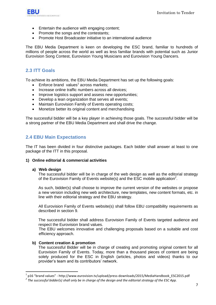

- Entertain the audience with engaging content;
- Promote the songs and the contestants;
- Promote Host Broadcaster initiative to an international audience

The EBU Media Department is keen on developing the ESC brand, familiar to hundreds of millions of people across the world as well as less familiar brands with potential such as Junior Eurovision Song Contest, Eurovision Young Musicians and Eurovision Young Dancers.

### <span id="page-6-0"></span>**2.3 ITT Goals**

To achieve its ambitions, the EBU Media Department has set up the following goals:

- $\bullet$  Enforce brand values<sup>1</sup> across markets;
- Increase online traffic numbers across all devices;
- Improve logistics support and assess new opportunities:
- Develop a lean organization that serves all events;
- Maintain Eurovision Family of Events operating costs;
- Monetize better its original content and merchandising

The successful bidder will be a key player in achieving those goals. The successful bidder will be a strong partner of the EBU Media Department and shall drive the change.

### <span id="page-6-1"></span>**2.4 EBU Main Expectations**

The IT has been divided in four distinctive packages. Each bidder shall answer at least to one package of the ITT in this proposal.

### **1) Online editorial & commercial activities**

#### **a) Web design**

1

The successful bidder will be in charge of the web design as well as the editorial strategy of the Eurovision Family of Events website(s) and the ESC mobile application*<sup>2</sup>* .

As such, bidder(s) shall choose to improve the current version of the websites or propose a new version including new web architecture, new templates, new content formats, etc. in line with their editorial strategy and the EBU strategy.

All Eurovision Family of Events website(s) shall follow EBU compatibility requirements as described in section 9.

The successful bidder shall address Eurovision Family of Events targeted audience and respect the Eurovision brand values.

The EBU welcomes innovative and challenging proposals based on a suitable and cost efficiency approach.

### **b) Content creation & promotion**

The successful Bidder will be in charge of creating and promoting original content for all Eurovision Family of Events. Today, more than a thousand pieces of content are being solely produced for the ESC in English (articles, photos and videos) thanks to our provider's team and its contributors' network.

<sup>1</sup> p16 "brand values" - http://www.eurovision.tv/upload/press-downloads/2015/MediaHandbook\_ESC2015.pdf

*<sup>2</sup> The successful bidder(s) shall only be in charge of the design and the editorial strategy of the ESC App.*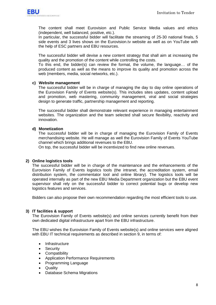

The content shall meet Eurovision and Public Service Media values and ethics (independent, well balanced, positive, etc.).

In particular, the successful bidder will facilitate the streaming of 25-30 national finals, 5 side events and 3 lives shows on the Eurovision.tv website as well as on YouTube with the help of ESC partners and EBU resources.

The successful bidder will devise a new content strategy that shall aim at increasing the quality and the promotion of the content while controlling the costs.

To this end, the bidder(s) can review the format, the volume, the language… of the produced content as well as the means to improve its quality and promotion across the web (members, media, social networks, etc.).

### **c) Website management**

The successful bidder will be in charge of managing the day to day online operations of the Eurovision Family of Events website(s). This includes sites updates, content upload and promotion, web mastering, community management, viral and social strategies design to generate traffic, partnership management and reporting.

The successful bidder shall demonstrate relevant experience in managing entertainment websites. The organization and the team selected shall secure flexibility, reactivity and innovation.

### **d) Monetization**

The successful bidder will be in charge of managing the Eurovision Family of Events merchandising website. He will manage as well the Eurovision Family of Events YouTube channel which brings additional revenues to the EBU.

On top, the successful bidder will be incentivized to find new online revenues.

### **2) Online logistics tools**

The successful bidder will be in charge of the maintenance and the enhancements of the Eurovision Family of Events logistics tools (the intranet, the accreditation system, email distribution system, the commentator tool and online library). The logistics tools will be operated internally as part of the new EBU Media Department organization but the EBU event supervisor shall rely on the successful bidder to correct potential bugs or develop new logistics features and services.

Bidders can also propose their own recommendation regarding the most efficient tools to use.

### **3) IT facilities & support**

The Eurovision Family of Events website(s) and online services currently benefit from their own dedicated digital infrastructure apart from the EBU infrastructure.

The EBU wishes the Eurovision Family of Events website(s) and online services were aligned with EBU IT technical requirements as described in section 9, in terms of:

- Infrastructure
- Security
- Compatibility
- Application Performance Requirements
- Programming Language
- Quality
- Database Schema Migrations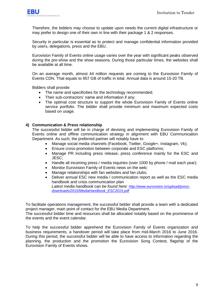

Therefore, the bidders may choose to update upon needs the current digital infrastructure or may prefer to design one of their own in line with their package 1 & 2 responses.

Security in particular is essential as to protect and manage confidential information provided by users, delegations, press and the EBU.

Eurovision Family of Events online usage varies over the year with significant peaks observed during the pre-show and the show seasons. During those particular times, the websites shall be available at all time.

On an average month, almost 44 million requests are coming to the Eurovision Family of Events CDN. That equals to 957 GB of traffic in total. Annual data is around 15-20 TB.

Bidders shall provide:

- The name and specificities for the technology recommended;
- Their sub-contractors' name and information if any;
- The optimal cost structure to support the whole Eurovision Family of Events online service portfolio. The bidder shall provide minimum and maximum expected costs based on usage.

### **4) Communication & Press relationship**

The successful bidder will be in charge of devising and implementing Eurovision Family of Events online and offline communication strategy in alignment with EBU Communication Department. As such, the preferred partner will notably have to:

- Manage social media channels (Facebook, Twitter, Google+, Instagram, Vk);
- Ensure cross-promotion between corporate and ESC platforms;
- Manage PR including press release, press conference mainly for the ESC and JESC;
- Handle all incoming press / media inquiries (over 1000 by phone / mail each year);
- Monitor Eurovision Family of Events news on the web;
- Manage relationships with fan websites and fan clubs;
- Deliver annual ESC new media / communication report as well as the ESC media handbook and crisis communication plan *Latest media handbook can be found here: [http://www.eurovision.tv/upload/press](http://www.eurovision.tv/upload/press-downloads/2015/MediaHandbook_ESC2015.pdf)[downloads/2015/MediaHandbook\\_ESC2015.pdf](http://www.eurovision.tv/upload/press-downloads/2015/MediaHandbook_ESC2015.pdf)*

To facilitate operations management, the successful bidder shall provide a team with a dedicated project manager, main point of contact for the EBU Media Department.

The successful bidder time and resources shall be allocated notably based on the prominence of the events and the event calendar.

To help the successful bidder apprehend the Eurovision Family of Events organization and business requirements, a handover period will take place from mid-March 2016 to June 2016. During this period, the successful bidder will be able to have access to information regarding the planning, the production and the promotion the Eurovision Song Contest, flagship of the Eurovision Family of Events shows.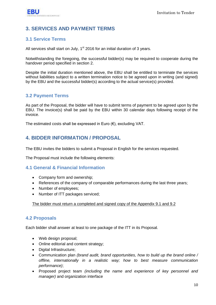# <span id="page-9-0"></span>**3. SERVICES AND PAYMENT TERMS**

### <span id="page-9-1"></span>**3.1 Service Terms**

All services shall start on July,  $1<sup>st</sup>$  2016 for an initial duration of 3 years.

Notwithstanding the foregoing, the successful bidder(s) may be required to cooperate during the handover period specified in section 2.

Despite the initial duration mentioned above, the EBU shall be entitled to terminate the services without liabilities subject to a written termination notice to be agreed upon in writing (and signed) by the EBU and the successful bidder(s) according to the actual service(s) provided.

### <span id="page-9-2"></span>**3.2 Payment Terms**

As part of the Proposal, the bidder will have to submit terms of payment to be agreed upon by the EBU. The invoice(s) shall be paid by the EBU within 30 calendar days following receipt of the invoice.

The estimated costs shall be expressed in Euro  $(\epsilon)$ , excluding VAT.

# <span id="page-9-3"></span>**4. BIDDER INFORMATION / PROPOSAL**

The EBU invites the bidders to submit a Proposal in English for the services requested.

The Proposal must include the following elements:

### <span id="page-9-4"></span>**4.1 General & Financial Information**

- Company form and ownership:
- References of the company of comparable performances during the last three years;
- Number of employees;
- Number of ITT packages serviced;

The bidder must return a completed and signed copy of the Appendix 9.1 and 9.2

### <span id="page-9-5"></span>**4.2 Proposals**

Each bidder shall answer at least to one package of the ITT in its Proposal.

- Web design proposal;
- Online editorial and content strategy;
- Digital Infrastructure;
- Communication plan *(brand audit, brand opportunities, how to build up the brand online / offline, internationally in a realistic way; how to best measure communication performance)*;
- Proposed project team *(including the name and experience of key personnel and manager)* and organization interface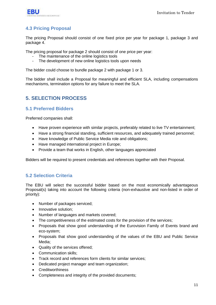

# <span id="page-10-0"></span>**4.3 Pricing Proposal**

The pricing Proposal should consist of one fixed price per year for package 1, package 3 and package 4.

The pricing proposal for package 2 should consist of one price per year:

- The maintenance of the online logistics tools
- The development of new online logistics tools upon needs

The bidder could choose to bundle package 2 with package 1 or 3.

The bidder shall include a Proposal for meaningful and efficient SLA, including compensations mechanisms, termination options for any failure to meet the SLA.

# <span id="page-10-1"></span>**5. SELECTION PROCESS**

### <span id="page-10-2"></span>**5.1 Preferred Bidders**

Preferred companies shall:

- Have proven experience with similar projects, preferably related to live TV entertainment;
- Have a strong financial standing, sufficient resources, and adequately trained personnel;
- Have knowledge of Public Service Media role and obligations;
- Have managed international project in Europe;
- Provide a team that works in English, other languages appreciated

Bidders will be required to present credentials and references together with their Proposal.

### <span id="page-10-3"></span>**5.2 Selection Criteria**

The EBU will select the successful bidder based on the most economically advantageous Proposal(s) taking into account the following criteria (non-exhaustive and non-listed in order of priority):

- Number of packages serviced;
- Innovative solution;
- Number of languages and markets covered;
- The competitiveness of the estimated costs for the provision of the services:
- Proposals that show good understanding of the Eurovision Family of Events brand and eco-system;
- Proposals that show good understanding of the values of the EBU and Public Service Media;
- Quality of the services offered;
- Communication skills:
- Track record and references form clients for similar services;
- Dedicated project manager and team organization;
- Creditworthiness
- Completeness and integrity of the provided documents;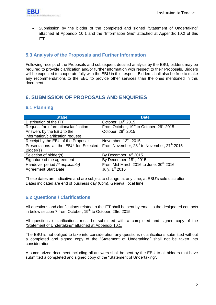

 Submission by the bidder of the completed and signed "Statement of Undertaking" attached at Appendix 10.1 and the "Information Grid" attached at Appendix 10.2 of this ITT

### <span id="page-11-0"></span>**5.3 Analysis of the Proposals and Further Information**

Following receipt of the Proposals and subsequent detailed analysis by the EBU, bidders may be required to provide clarification and/or further information with respect to their Proposals. Bidders will be expected to cooperate fully with the EBU in this respect. Bidders shall also be free to make any recommendations to the EBU to provide other services than the ones mentioned in this document.

# <span id="page-11-1"></span>**6. SUBMISSION OF PROPOSALS AND ENQUIRIES**

### <span id="page-11-2"></span>**6.1 Planning**

| <b>Stage</b>                          | <b>Date</b>                                                        |
|---------------------------------------|--------------------------------------------------------------------|
| Distribution of the ITT               | October, 16 <sup>th</sup> 2015                                     |
| Request for information/clarification | From October, 19 <sup>th</sup> to October, 26 <sup>th</sup> 2015   |
| Answers by the EBU to the             | October, 28 <sup>th</sup> 2015                                     |
| information/clarification request     |                                                                    |
| Receipt by the EBU of the Proposals   | November, 13 <sup>th</sup> , 2015                                  |
| Presentations at the EBU for Selected | From November, 23 <sup>rd</sup> to November, 27 <sup>th</sup> 2015 |
| Bidder(s)                             |                                                                    |
| Selection of bidder(s)                | By December, 4 <sup>th</sup> 2015                                  |
| Signature of the agreement            | By December, 18 <sup>th</sup> , 2015                               |
| Handover period (if applicable)       | From Mid-March 2016 to June, 30 <sup>th</sup> 2016                 |
| <b>Agreement Start Date</b>           | July, 1 <sup>st</sup> 2016                                         |

These dates are indicative and are subject to change, at any time, at EBU"s sole discretion. Dates indicated are end of business day (6pm), Geneva, local time

### <span id="page-11-3"></span>**6.2 Questions / Clarifications**

All questions and clarifications related to the ITT shall be sent by email to the designated contacts in below section 7 from October,  $19<sup>th</sup>$  to October, 26rd 2015.

All questions / clarifications must be submitted with a completed and signed copy of the "Statement of Undertaking" attached at Appendix 10.1.

The EBU is not obliged to take into consideration any questions / clarifications submitted without a completed and signed copy of the "Statement of Undertaking" shall not be taken into consideration.

A summarized document including all answers shall be sent by the EBU to all bidders that have submitted a completed and signed copy of the "Statement of Undertaking".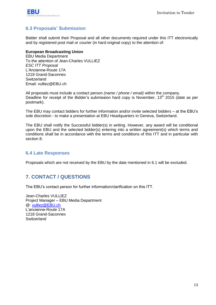

# <span id="page-12-0"></span>**6.3 Proposals' Submission**

Bidder shall submit their Proposal and all other documents required under this ITT electronically and by registered post mail or courier (in hard original copy) to the attention of:

### **European Broadcasting Union**

EBU Media Department To the attention of Jean-Charles VULLIEZ *ESC ITT Proposal* L"Ancienne-Route 17A 1218 Grand-Saconnex **Switzerland** Email: vulliez@EBU.ch

All proposals must include a contact person *(name / phone / email)* within the company. Deadline for receipt of the Bidder's submission hard copy is November,  $13<sup>th</sup>$  2015 (date as per postmark).

The EBU may contact bidders for further information and/or invite selected bidders – at the EBU"s sole discretion - to make a presentation at EBU Headquarters in Geneva, Switzerland.

The EBU shall notify the Successful bidder(s) in writing. However, any award will be conditional upon the EBU and the selected bidder(s) entering into a written agreement(s) which terms and conditions shall be in accordance with the terms and conditions of this ITT and in particular with section 8.

### <span id="page-12-1"></span>**6.4 Late Responses**

Proposals which are not received by the EBU by the date mentioned in 6.1 will be excluded.

# <span id="page-12-2"></span>**7. CONTACT / QUESTIONS**

The EBU"s contact person for further information/clarification on this ITT.

Jean-Charles VULLIEZ Project Manager – EBU Media Department @: [vulliez@EBU.ch](mailto:vulliez@EBU.ch) L"ancienne-Route 17A 1218 Grand-Saconnex **Switzerland**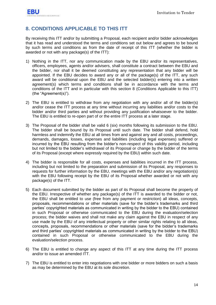# <span id="page-13-0"></span>**8. CONDITIONS APPLICABLE TO THIS ITT**

By receiving this ITT and/or by submitting a Proposal, each recipient and/or bidder acknowledges that it has read and understood the terms and conditions set out below and agrees to be bound by such terms and conditions as from the date of receipt of this ITT (whether the bidder is awarded or not with any package(s) of the ITT):

- 1) Nothing in the ITT, nor any communication made by the EBU and/or its representatives, officers, employees, agents and/or advisers, shall constitute a contract between the EBU and the bidder, nor shall it be deemed constituting any representation that any bidder will be appointed. If the EBU decides to award any or all of the package(s) of the ITT, any such award will be conditional upon the EBU and the selected bidder(s) entering into a written agreement(s) which terms and conditions shall be in accordance with the terms and conditions of the ITT and in particular with this section 8 (Conditions Applicable to this ITT) (the "Agreement(s)").
- 2) The EBU is entitled to withdraw from any negotiation with any and/or all of the bidder(s) and/or cease the ITT process at any time without incurring any liabilities and/or costs to the bidder and/or third parties and without providing any justification whatsoever to the bidder. The EBU is entitled to re-open part of or the entire ITT process at a later stage.
- 3) The Proposal of the bidder shall be valid 6 (six) months following its submission to the EBU. The bidder shall be bound by its Proposal until such date. The bidder shall defend, hold harmless and indemnify the EBU at all times from and against any and all costs, proceedings, demands, damages, losses, expenses and liabilities (including legal expenses) suffered or incurred by the EBU resulting from the bidder"s non-respect of this validity period, including but not limited to the bidder"s withdrawal of its Proposal or change by the bidder of the terms of its Proposal (except where expressly required by the EBU) within such date.
- 4) The bidder is responsible for all costs, expenses and liabilities incurred in the ITT process, including but not limited to the preparation and submission of its Proposal, any responses to requests for further information by the EBU, meetings with the EBU and/or any negotiation(s) with the EBU following receipt by the EBU of its Proposal whether awarded or not with any package(s) of the ITT.
- 5) Each document submitted by the bidder as part of its Proposal shall become the property of the EBU. Irrespective of whether any package(s) of the ITT is awarded to the bidder or not, the EBU shall be entitled to use (free from any payment or restriction) all ideas, concepts, proposals, recommendations or other materials (save for the bidder"s trademarks and third parties" copyrighted materials as communicated in writing by the bidder to the EBU) contained in such Proposal or otherwise communicated to the EBU during the evaluation/selection process; the bidder waives and shall not make any claim against the EBU in respect of any use made by the EBU of any intellectual property or other similar rights relating to all ideas, concepts, proposals, recommendations or other materials (save for the bidder"s trademarks and third parties" copyrighted materials as communicated in writing by the bidder to the EBU) contained in such Proposal or otherwise communicated to the EBU during the evaluation/selection process.
- 6) The EBU is entitled to change any aspect of this ITT at any time during the ITT process and/or to issue an amended ITT.
- 7) The EBU is entitled to enter into negotiations with one bidder or more bidders on such a basis as may be determined by the EBU at its sole discretion.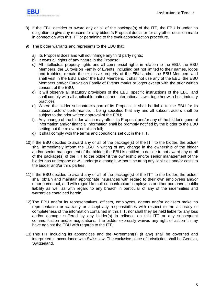

- 8) If the EBU decides to award any or all of the package(s) of the ITT, the EBU is under no obligation to give any reasons for any bidder"s Proposal denial or for any other decision made in connection with this ITT or pertaining to the evaluation/selection procedure.
- 9) The bidder warrants and represents to the EBU that:
	- a) Its Proposal does and will not infringe any third party rights:
	- b) It owns all rights of any nature in the Proposal:
	- c) All intellectual property rights and all commercial rights in relation to the EBU, the EBU Members, the Eurovision Family of Events, including but not limited to their names, logos and trophies, remain the exclusive property of the EBU and/or the EBU Members and shall vest in the EBU and/or the EBU Members. It shall not use any of the EBU, the EBU Members and/or Eurovision Family of Events marks or logos except with the prior written consent of the EBU;
	- d) It will observe all statutory provisions of the EBU, specific instructions of the EBU, and shall comply with all applicable national and international laws, together with best industry practices;
	- e) Where the bidder subcontracts part of its Proposal, it shall be liable to the EBU for its subcontractors' performance, it being specified that any and all subcontractors shall be subject to the prior written approval of the EBU;
	- f) Any change of the bidder which may affect its Proposal and/or any of the bidder"s general information and/or financial information shall be promptly notified by the bidder to the EBU setting out the relevant details in full;
	- g) It shall comply with the terms and conditions set out in the ITT.
- 10) If the EBU decides to award any or all of the package(s) of the ITT to the bidder, the bidder shall immediately inform the EBU in writing of any change in the ownership of the bidder and/or senior management of the bidder; the EBU is entitled to decide to not award any or all of the package(s) of the ITT to the bidder if the ownership and/or senior management of the bidder has undergone or will undergo a change, without incurring any liabilities and/or costs to the bidder and/or third parties.
- 11) If the EBU decides to award any or all of the package(s) of the ITT to the bidder, the bidder shall obtain and maintain appropriate insurances with regard to their own employees and/or other personnel, and with regard to their subcontractors" employees or other personnel, public liability as well as with regard to any breach in particular of any of the indemnities and warranties contained herein.
- 12) The EBU and/or its representatives, officers, employees, agents and/or advisers make no representation or warranty or accept any responsibilities with respect to the accuracy or completeness of the information contained in this ITT, nor shall they be held liable for any loss and/or damage suffered by any bidder(s) in reliance on this ITT or any subsequent communication and/or negotiations. The bidder expressly waives any right of action it may have against the EBU with regards to the ITT.
- 13) This ITT including its appendices and the Agreement(s) (if any) shall be governed and interpreted in accordance with Swiss law. The exclusive place of jurisdiction shall be Geneva, Switzerland.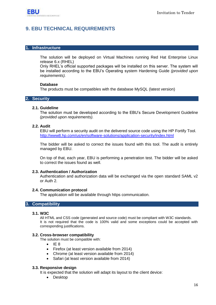# <span id="page-15-0"></span>**9. EBU TECHNICAL REQUIREMENTS**

### **1. Infrastructure**

The solution will be deployed on Virtual Machines running Red Hat Enterprise Linux release 6.x (RHEL)

Only RHEL"s official supported packages will be installed on this server. The system will be installed according to the EBU"s Operating system Hardening Guide *(provided upon requirements).*

### **Database**

The products must be compatibles with the database MySQL (latest version)

### **2. Security**

### **2.1. Guideline**

The solution must be developed according to the EBU"s Secure Development Guideline *(provided upon requirements).*

### **2.2. Audit**

EBU will perform a security audit on the delivered source code using the HP Fortify Tool. <http://www8.hp.com/us/en/software-solutions/application-security/index.html>

The bidder will be asked to correct the issues found with this tool. The audit is entirely managed by EBU.

On top of that, each year, EBU is performing a penetration test. The bidder will be asked to correct the issues found as well.

#### **2.3. Authentication / Authorization**

Authentication and authorization data will be exchanged via the open standard SAML v2 or Auth 2.

#### **2.4. Communication protocol**

The application will be available through https communication.

### **3. Compatibility**

#### **3.1. W3C**

All HTML and CSS code (generated and source code) must be compliant with W3C standards. It is not required that the code is 100% valid and some exceptions could be accepted with corresponding justifications.

#### **3.2. Cross-browser compatibility**

The solution must be compatible with:

- $I = 8$
- Firefox (at least version available from 2014)
- Chrome (at least version available from 2014)
- Safari (at least version available from 2014)

#### **3.3. Responsive design**

It is expected that the solution will adapt its layout to the client device:

• Desktop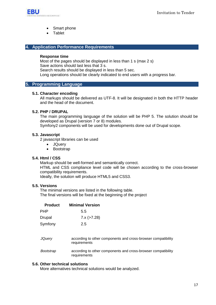

- Smart phone
- Tablet

### **4. Application Performance Requirements**

#### **Response time**

Most of the pages should be displayed in less than 1 s (max 2 s) Save actions should last less that 3 s. Search results should be displayed in less than 5 sec. Long operations should be clearly indicated to end users with a progress bar.

### **5. Programming Language**

#### **5.1. Character encoding**

All markups should be delivered as UTF-8. It will be designated in both the HTTP header and the head of the document.

### **5.2. PHP / DRUPAL**

The main programming language of the solution will be PHP 5. The solution should be developed as Drupal (version 7 or 8) modules.

Symfony2 components will be used for developments done out of Drupal scope.

### **5.3. Javascript**

2 javascript libraries can be used

- **JQuery**
- Bootstrap

### **5.4. Html / CSS**

Markup should be well-formed and semantically correct. HTML and CSS compliance level code will be chosen according to the cross-browser compatibility requirements. Ideally, the solution will produce HTML5 and CSS3.

**5.5. Versions**

The minimal versions are listed in the following table. The final versions will be fixed at the beginning of the project

| <b>Product</b> | <b>Minimal Version</b>                                                        |
|----------------|-------------------------------------------------------------------------------|
| PHP            | 5.5                                                                           |
| Drupal         | $7.x$ ( $>7.28$ )                                                             |
| Symfony        | 2.5                                                                           |
|                |                                                                               |
| <b>JQuery</b>  | according to other components and cross-browser compatibility<br>requirements |
| Bootstrap      | according to other components and cross-browser compatibility<br>requirements |

### **5.6. Other technical solutions**

More alternatives technical solutions would be analyzed.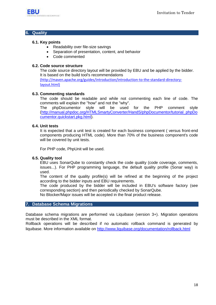

### **6. Quality**

### **6.1. Key points**

- Readability over file-size savings
- Separation of presentation, content, and behavior
- Code commented

#### **6.2. Code source structure**

The code source directory layout will be provided by EBU and be applied by the bidder. It is based on the build tool's recommendations

[\(http://maven.apache.org/guides/introduction/introduction-to-the-standard-directory](http://maven.apache.org/guides/introduction/introduction-to-the-standard-directory-layout.html)[layout.html\)](http://maven.apache.org/guides/introduction/introduction-to-the-standard-directory-layout.html)

### **6.3. Commenting standards**

The code should be readable and while not commenting each line of code. The comments will explain the "how" and not the "why".

The phpDocumentor style will be used for the PHP comment style [\(http://manual.phpdoc.org/HTMLSmartyConverter/HandS/phpDocumentor/tutorial\\_phpDo](http://manual.phpdoc.org/HTMLSmartyConverter/HandS/phpDocumentor/tutorial_phpDocumentor.quickstart.pkg.html) [cumentor.quickstart.pkg.html\)](http://manual.phpdoc.org/HTMLSmartyConverter/HandS/phpDocumentor/tutorial_phpDocumentor.quickstart.pkg.html).

### **6.4. Unit tests**

It is expected that a unit test is created for each business component ( versus front-end components producing HTML code). More than 70% of the business component's code will be covered by unit tests.

For PHP code, PhpUnit will be used.

### **6.5. Quality tool**

EBU uses SonarQube to constantly check the code quality (code coverage, comments, issues...). For PHP programming language, the default quality profile (Sonar way) is used.

The content of the quality profile(s) will be refined at the beginning of the project according to the bidder inputs and EBU requirements.

The code produced by the bidder will be included in EBU's software factory (see corresponding section) and then periodically checked by SonarQube.

No Blocker/Major issues will be accepted in the final product release.

### **7. Database Schema Migrations**

Database schema migrations are performed via Liquibase (version 3+). Migration operations must be described in the XML format.

Rollback operations will be described if no automatic rollback command is generated by liquibase. More information available on<http://www.liquibase.org/documentation/rollback.html>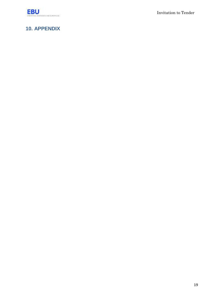

Invitation to Tender

# <span id="page-18-0"></span>**10. APPENDIX**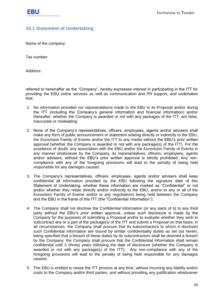

## <span id="page-19-0"></span>**10.1 Statement of Undertaking**

Name of the company:

Tax number:

Address:

referred to hereinafter as the "Company", hereby expresses interest in participating in the ITT for providing the EBU online services as well as communication and PR support, and undertakes that:

- 1. No information provided nor representations made to the EBU in its Proposal and/or during the ITT (including the Company"s general information and financial information) and/or thereafter, whether the Company is awarded or not with any packages of the ITT, are false, inaccurate or misleading;
- 2. None of the Company"s representatives, officers, employees, agents and/or advisers shall make any form of public announcement or statement relating directly or indirectly to the EBU, the Eurovision Family of Events and/or the ITT to any media without the EBU"s prior written approval (whether the Company is awarded or not with any package(s) of the ITT). For the avoidance of doubt, any association with the EBU and/or the Eurovision Family of Events in any manner whatsoever by the Company, its representatives, officers, employees, agents and/or advisers, without the EBU"s prior written approval is strictly prohibited. Any noncompliance with any of the foregoing provisions will lead to the penalty of being held responsible for any damages caused;
- 3. The Company"s representatives, officers, employees, agents and/or advisers shall keep confidential all information provided by the EBU following the signature date of this Statement of Undertaking, whether these information are marked as "Confidential" or not and/or whether they relate directly and/or indirectly to the EBU, and/or to any or all of the Eurovision Family of Events and/or to any negotiations being held between the Company and the EBU in the frame of this ITT (the "Confidential Information");
- 4. The Company shall not disclose the Confidential Information (or any parts of it) to any third party without the EBU"s prior written approval, unless such disclosure is made by the Company for the purposes of submitting a Proposal and/or to evaluate whether they wish to subcontract any or a part of the package(s) of the ITT and submit a Proposal on that basis; in all circumstances, the Company shall procure that its subcontractors to whom it discloses such Confidential Information are bound by similar confidentiality duties as set out herein, being specified that a breach of these duties by its subcontractors shall be deemed a breach by the Company; the Company shall procure that the Confidential Information shall remain confidential until 3 (three) years following the date of disclosure (whether the Company is awarded or not with any package(s) of the ITT); Any non-compliance with any of the foregoing provisions will lead to the penalty of being held responsible for any damages caused;
- 5. The EBU is entitled to cease the ITT process at any time, without incurring any liability and/or costs to the Company and/or third parties, and without providing any justification whatsoever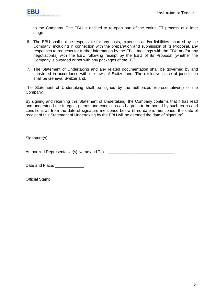

to the Company. The EBU is entitled to re-open part of the entire ITT process at a later stage.

- 6. The EBU shall not be responsible for any costs, expenses and/or liabilities incurred by the Company, including in connection with the preparation and submission of its Proposal, any responses to requests for further information by the EBU, meetings with the EBU and/or any negotiation(s) with the EBU following receipt by the EBU of its Proposal (whether the Company is awarded or not with any packages of the ITT);
- 7. The Statement of Undertaking and any related documentation shall be governed by and construed in accordance with the laws of Switzerland. The exclusive place of jurisdiction shall be Geneva, Switzerland.

The Statement of Undertaking shall be signed by the authorized representative(s) of the Company.

By signing and returning this Statement of Undertaking, the Company confirms that it has read and understood the foregoing terms and conditions and agrees to be bound by such terms and conditions as from the date of signature mentioned below (if no date is mentioned, the date of receipt of this Statement of Undertaking by the EBU will be deemed the date of signature).

Signature(s): \_\_\_\_\_\_\_\_\_\_\_\_\_\_\_\_\_\_\_\_\_\_\_\_\_\_\_\_\_\_\_\_\_\_\_\_\_\_\_\_\_\_\_\_\_\_\_\_\_\_\_\_\_\_\_\_

Authorized Representative(s) Name and Title: \_\_\_\_\_\_\_\_\_\_\_\_\_\_\_\_\_\_\_\_\_\_\_\_\_\_\_\_\_\_\_\_\_\_\_

Date and Place:

Official Stamp: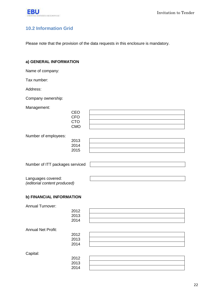

# <span id="page-21-0"></span>**10.2 Information Grid**

Please note that the provision of the data requests in this enclosure is mandatory.

### **a) GENERAL INFORMATION**

Name of company:

Tax number:

Address:

Company ownership:

Management:

| <b>CEO</b>                      |  |
|---------------------------------|--|
| <b>CFO</b>                      |  |
| <b>CTO</b>                      |  |
| <b>CMO</b>                      |  |
|                                 |  |
| Number of employees:            |  |
| 2013                            |  |
| 2014                            |  |
| 2015                            |  |
|                                 |  |
|                                 |  |
| Number of ITT packages serviced |  |
|                                 |  |
|                                 |  |

Languages covered: *(editorial content produced)*

### **b) FINANCIAL INFORMATION**

Annual Turnover:

|                           | 2012 |  |
|---------------------------|------|--|
|                           | 2013 |  |
|                           | 2014 |  |
| <b>Annual Net Profit:</b> |      |  |
|                           | 2012 |  |
|                           | 2013 |  |
|                           | 2014 |  |
| Capital:                  |      |  |
|                           | 2012 |  |
|                           | 2013 |  |
|                           | 2014 |  |